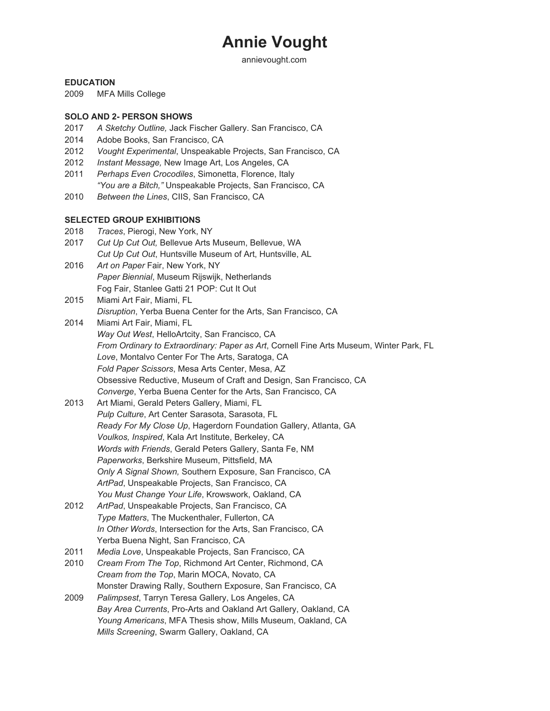# **Annie Vought**

annievought.com

## **EDUCATION**

2009 MFA Mills College

## **SOLO AND 2- PERSON SHOWS**

- 2017 *A Sketchy Outline,* Jack Fischer Gallery. San Francisco, CA
- 2014 Adobe Books, San Francisco, CA
- 2012 *Vought Experimental*, Unspeakable Projects, San Francisco, CA
- 2012 *Instant Message,* New Image Art, Los Angeles, CA
- 2011 *Perhaps Even Crocodiles*, Simonetta, Florence, Italy *"You are a Bitch,"* Unspeakable Projects, San Francisco, CA
- 2010 *Between the Lines*, CIIS, San Francisco, CA

# **SELECTED GROUP EXHIBITIONS**

- 2018 *Traces*, Pierogi, New York, NY
- 2017 *Cut Up Cut Out,* Bellevue Arts Museum, Bellevue, WA *Cut Up Cut Out*, Huntsville Museum of Art, Huntsville, AL
- 2016 *Art on Paper* Fair, New York, NY *Paper Biennial*, Museum Rijswijk, Netherlands Fog Fair, Stanlee Gatti 21 POP: Cut It Out
- 2015 Miami Art Fair, Miami, FL *Disruption*, Yerba Buena Center for the Arts, San Francisco, CA
- 2014 Miami Art Fair, Miami, FL *Way Out West*, HelloArtcity, San Francisco, CA *From Ordinary to Extraordinary: Paper as Art*, Cornell Fine Arts Museum, Winter Park, FL *Love*, Montalvo Center For The Arts, Saratoga, CA *Fold Paper Scissors*, Mesa Arts Center, Mesa, AZ Obsessive Reductive, Museum of Craft and Design, San Francisco, CA *Converge*, Yerba Buena Center for the Arts, San Francisco, CA
- 2013 Art Miami, Gerald Peters Gallery, Miami, FL *Pulp Culture*, Art Center Sarasota, Sarasota, FL *Ready For My Close Up*, Hagerdorn Foundation Gallery, Atlanta, GA *Voulkos, Inspired*, Kala Art Institute, Berkeley, CA *Words with Friends*, Gerald Peters Gallery, Santa Fe, NM *Paperworks*, Berkshire Museum, Pittsfield, MA *Only A Signal Shown,* Southern Exposure, San Francisco, CA *ArtPad*, Unspeakable Projects, San Francisco, CA *You Must Change Your Life*, Krowswork, Oakland, CA
- 2012 *ArtPad*, Unspeakable Projects, San Francisco, CA *Type Matters*, The Muckenthaler, Fullerton, CA *In Other Words*, Intersection for the Arts, San Francisco, CA Yerba Buena Night, San Francisco, CA
- 2011 *Media Love*, Unspeakable Projects, San Francisco, CA
- 2010 *Cream From The Top*, Richmond Art Center, Richmond, CA *Cream from the Top*, Marin MOCA, Novato, CA Monster Drawing Rally, Southern Exposure, San Francisco, CA
- 2009 *Palimpsest*, Tarryn Teresa Gallery, Los Angeles, CA *Bay Area Currents*, Pro-Arts and Oakland Art Gallery, Oakland, CA *Young Americans*, MFA Thesis show, Mills Museum, Oakland, CA *Mills Screening*, Swarm Gallery, Oakland, CA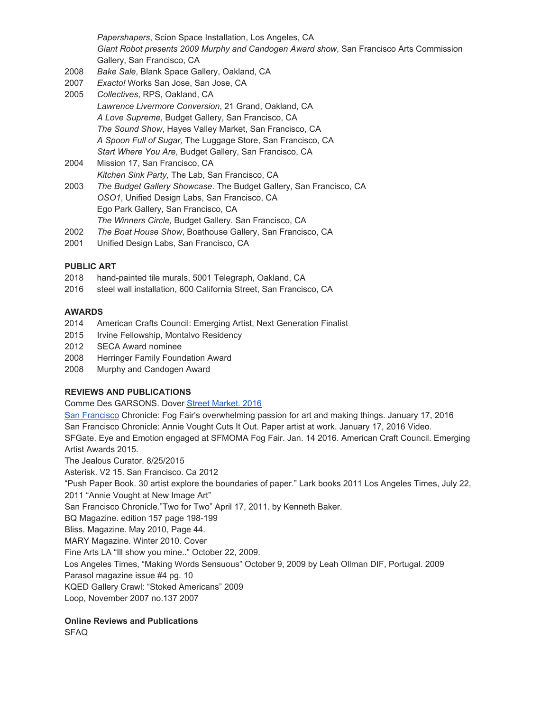*Papershapers*, Scion Space Installation, Los Angeles, CA *Giant Robot presents 2009 Murphy and Candogen Award show*, San Francisco Arts Commission Gallery, San Francisco, CA

- 2008 *Bake Sale*, Blank Space Gallery, Oakland, CA
- 2007 *Exacto!* Works San Jose, San Jose, CA
- 2005 *Collectives*, RPS, Oakland, CA *Lawrence Livermore Conversion*, 21 Grand, Oakland, CA *A Love Supreme*, Budget Gallery, San Francisco, CA *The Sound Show*, Hayes Valley Market, San Francisco, CA *A Spoon Full of Sugar,* The Luggage Store, San Francisco, CA *Start Where You Are*, Budget Gallery, San Francisco, CA
- 2004 Mission 17, San Francisco, CA *Kitchen Sink Party,* The Lab, San Francisco, CA 2003 *The Budget Gallery Showcase*. The Budget Gallery, San Francisco, CA *OSO1*, Unified Design Labs, San Francisco, CA Ego Park Gallery, San Francisco, CA
	- *The Winners Circle,* Budget Gallery. San Francisco, CA
- 2002 *The Boat House Show*, Boathouse Gallery, San Francisco, CA
- 2001 Unified Design Labs, San Francisco, CA

#### **PUBLIC ART**

- 2018 hand-painted tile murals, 5001 Telegraph, Oakland, CA
- 2016 steel wall installation, 600 California Street, San Francisco, CA

# **AWARDS**

- 2014 American Crafts Council: Emerging Artist, Next Generation Finalist
- 2015 Irvine Fellowship, Montalvo Residency
- 2012 SECA Award nominee
- 2008 Herringer Family Foundation Award
- 2008 Murphy and Candogen Award

# **REVIEWS AND PUBLICATIONS**

Comme Des GARSONS. Dover Street [Market.](https://maps.google.com/?q=Street+Market.+2016+San+Francisco&entry=gmail&source=g) 2016

San [Francisco](https://maps.google.com/?q=Street+Market.+2016+San+Francisco&entry=gmail&source=g) Chronicle: Fog Fair's overwhelming passion for art and making things. January 17, 2016 San Francisco Chronicle: Annie Vought Cuts It Out. Paper artist at work. January 17, 2016 Video. SFGate. Eye and Emotion engaged at SFMOMA Fog Fair. Jan. 14 2016. American Craft Council. Emerging Artist Awards 2015. The Jealous Curator. 8/25/2015 Asterisk. V2 15. San Francisco. Ca 2012 "Push Paper Book. 30 artist explore the boundaries of paper." Lark books 2011 Los Angeles Times, July 22, 2011 "Annie Vought at New Image Art" San Francisco Chronicle."Two for Two" April 17, 2011. by Kenneth Baker. BQ Magazine. edition 157 page 198-199 Bliss. Magazine. May 2010, Page 44. MARY Magazine. Winter 2010. Cover Fine Arts LA "Ill show you mine.." October 22, 2009. Los Angeles Times, "Making Words Sensuous" October 9, 2009 by Leah Ollman DIF, Portugal. 2009 Parasol magazine issue #4 pg. 10 KQED Gallery Crawl: "Stoked Americans" 2009 Loop, November 2007 no.137 2007

# **Online Reviews and Publications**

SFAQ